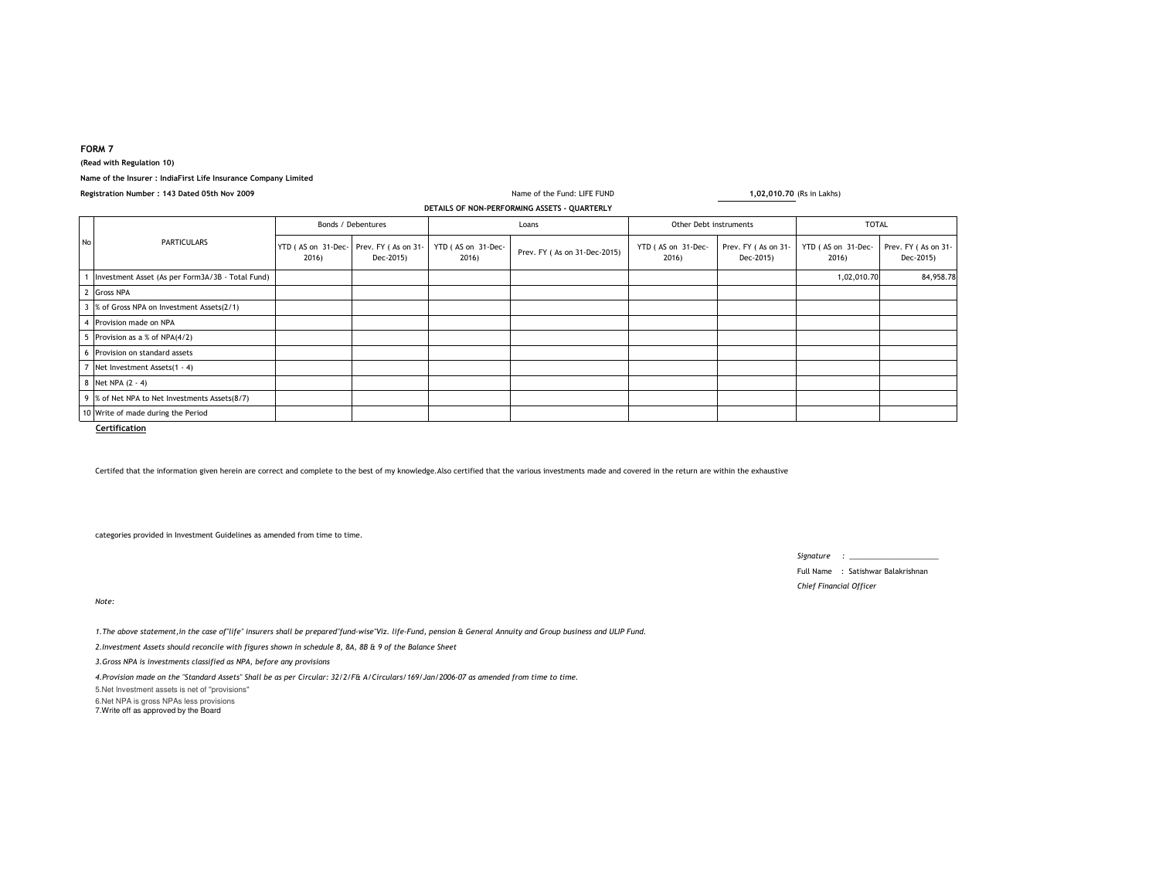### **FORM 7**

**(Read with Regulation 10)**

# **Name of the Insurer : IndiaFirst Life Insurance Company Limited**

| Registration Number: 143 Dated 05th Nov 2009 |                                                  |                                               |           |                             | Name of the Fund: LIFE FUND  |                             | 1,02,010.70 (Rs in Lakhs)        |                             |                                  |  |
|----------------------------------------------|--------------------------------------------------|-----------------------------------------------|-----------|-----------------------------|------------------------------|-----------------------------|----------------------------------|-----------------------------|----------------------------------|--|
| DETAILS OF NON-PERFORMING ASSETS - QUARTERLY |                                                  |                                               |           |                             |                              |                             |                                  |                             |                                  |  |
| <b>No</b>                                    | PARTICULARS                                      | Bonds / Debentures                            |           | Loans                       |                              | Other Debt instruments      |                                  | <b>TOTAL</b>                |                                  |  |
|                                              |                                                  | YTD (AS on 31-Dec-Prev. FY (As on 31-<br>2016 | Dec-2015) | YTD (AS on 31-Dec-<br>2016) | Prev. FY (As on 31-Dec-2015) | YTD (AS on 31-Dec-<br>2016) | Prev. FY (As on 31-<br>Dec-2015) | YTD (AS on 31-Dec-<br>2016) | Prev. FY (As on 31-<br>Dec-2015) |  |
|                                              | Investment Asset (As per Form3A/3B - Total Fund) |                                               |           |                             |                              |                             |                                  | 1,02,010.70                 | 84,958.78                        |  |
|                                              | <b>Gross NPA</b>                                 |                                               |           |                             |                              |                             |                                  |                             |                                  |  |
|                                              | % of Gross NPA on Investment Assets(2/1)         |                                               |           |                             |                              |                             |                                  |                             |                                  |  |
|                                              | Provision made on NPA                            |                                               |           |                             |                              |                             |                                  |                             |                                  |  |
|                                              | Provision as a % of NPA(4/2)                     |                                               |           |                             |                              |                             |                                  |                             |                                  |  |
|                                              | Provision on standard assets                     |                                               |           |                             |                              |                             |                                  |                             |                                  |  |
|                                              | Net Investment Assets(1 - 4)                     |                                               |           |                             |                              |                             |                                  |                             |                                  |  |
|                                              | 8 Net NPA (2 - 4)                                |                                               |           |                             |                              |                             |                                  |                             |                                  |  |
|                                              | 9 % of Net NPA to Net Investments Assets(8/7)    |                                               |           |                             |                              |                             |                                  |                             |                                  |  |
|                                              | 10 Write of made during the Period               |                                               |           |                             |                              |                             |                                  |                             |                                  |  |

Certifed that the information given herein are correct and complete to the best of my knowledge.Also certified that the various investments made and covered in the return are within the exhaustive

categories provided in Investment Guidelines as amended from time to time.

*Note:*

*1.The above statement,in the case of"life" insurers shall be prepared"fund-wise"Viz. life-Fund, pension & General Annuity and Group business and ULIP Fund.*

*2.Investment Assets should reconcile with figures shown in schedule 8, 8A, 8B & 9 of the Balance Sheet*

*3.Gross NPA is investments classified as NPA, before any provisions*

*4.Provision made on the "Standard Assets" Shall be as per Circular: 32/2/F& A/Circulars/169/Jan/2006-07 as amended from time to time.*

5.Net Investment assets is net of ''provisions'' 6.Net NPA is gross NPAs less provisions 7.Write off as approved by the Board

*Signature : \_\_\_\_\_\_\_\_\_\_\_\_\_\_\_\_\_\_\_\_\_\_*

Full Name : Satishwar Balakrishnan*Chief Financial Officer*

**Certification**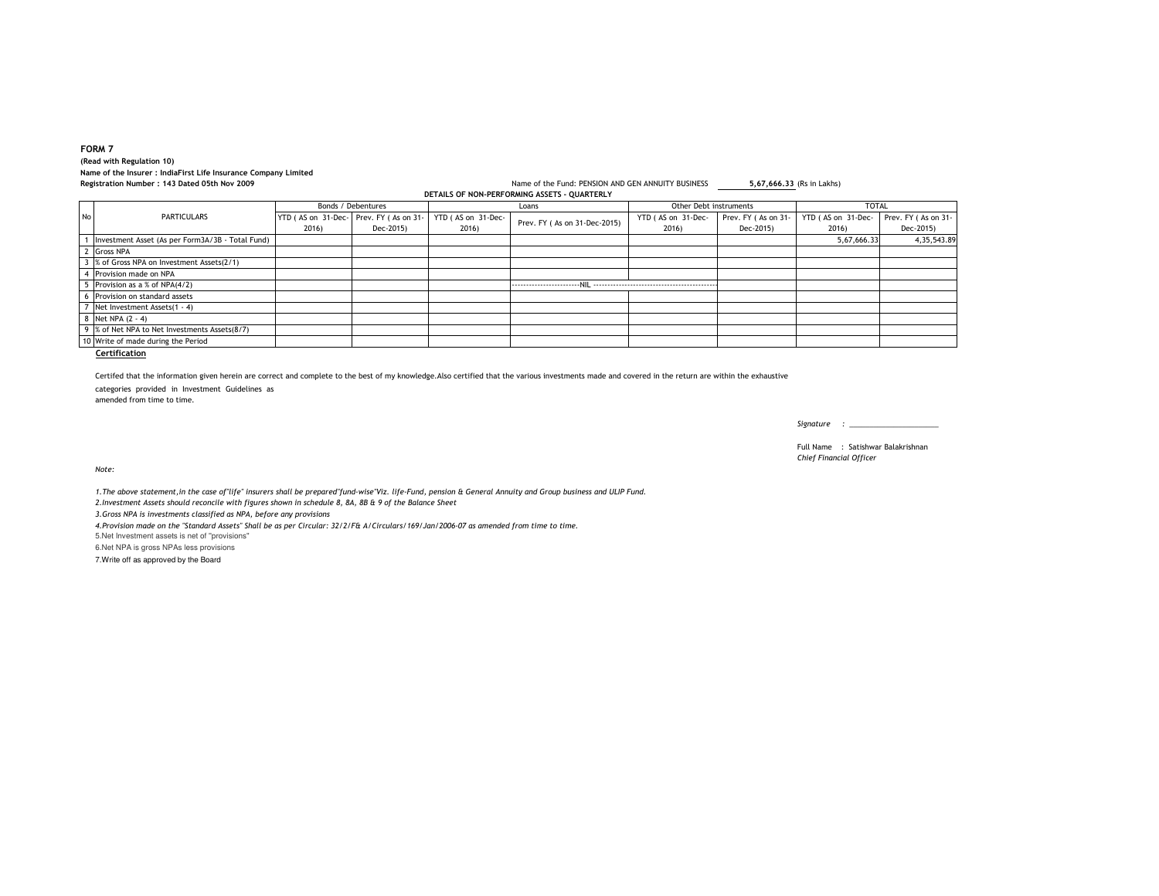## **FORM 7 (Read with Regulation 10) Name of the Insurer : IndiaFirst Life Insurance Company LimitedRegistration Number : 143 Dated 05th Nov 2009**

#### Name of the Fund: PENSION AND GEN ANNUITY BUSINESS **5,67,666.33** (Rs in Lakhs) **DETAILS OF NON-PERFORMING ASSETS - QUARTERLY**

|    | <b>PLIAIL</b> , OF NON-FENI ONMING ASSETS - OUANTENET |                                                 |           |                             |                              |                             |                                  |                             |                                  |
|----|-------------------------------------------------------|-------------------------------------------------|-----------|-----------------------------|------------------------------|-----------------------------|----------------------------------|-----------------------------|----------------------------------|
|    | PARTICULARS                                           | Bonds / Debentures                              |           | Loans                       |                              | Other Debt instruments      |                                  | <b>TOTAL</b>                |                                  |
| No |                                                       | YTD (AS on 31-Dec- Prev. FY (As on 31-<br>2016) | Dec-2015) | YTD (AS on 31-Dec-<br>2016) | Prev. FY (As on 31-Dec-2015) | YTD (AS on 31-Dec-<br>2016) | Prev. FY (As on 31-<br>Dec-2015) | YTD (AS on 31-Dec-<br>2016) | Prev. FY (As on 31-<br>Dec-2015) |
|    | Investment Asset (As per Form3A/3B - Total Fund)      |                                                 |           |                             |                              |                             |                                  | 5,67,666.33                 | 4, 35, 543.89                    |
|    | Gross NPA                                             |                                                 |           |                             |                              |                             |                                  |                             |                                  |
|    | 3 % of Gross NPA on Investment Assets(2/1)            |                                                 |           |                             |                              |                             |                                  |                             |                                  |
|    | Provision made on NPA                                 |                                                 |           |                             |                              |                             |                                  |                             |                                  |
|    | 5 Provision as a % of NPA(4/2)                        |                                                 |           |                             |                              |                             |                                  |                             |                                  |
|    | 6 Provision on standard assets                        |                                                 |           |                             |                              |                             |                                  |                             |                                  |
|    | 7 Net Investment Assets(1 - 4)                        |                                                 |           |                             |                              |                             |                                  |                             |                                  |
|    | 8 Net NPA (2 - 4)                                     |                                                 |           |                             |                              |                             |                                  |                             |                                  |
|    | 9 % of Net NPA to Net Investments Assets(8/7)         |                                                 |           |                             |                              |                             |                                  |                             |                                  |
|    | 10 Write of made during the Period                    |                                                 |           |                             |                              |                             |                                  |                             |                                  |
|    |                                                       |                                                 |           |                             |                              |                             |                                  |                             |                                  |

**Certification**

Certifed that the information given herein are correct and complete to the best of my knowledge.Also certified that the various investments made and covered in the return are within the exhaustive

categories provided in Investment Guidelines as

amended from time to time.

*Signature : \_\_\_\_\_\_\_\_\_\_\_\_\_\_\_\_\_\_\_\_\_\_*

Full Name : Satishwar Balakrishnan*Chief Financial Officer*

*Note:*

*1.The above statement,in the case of"life" insurers shall be prepared"fund-wise"Viz. life-Fund, pension & General Annuity and Group business and ULIP Fund.2.Investment Assets should reconcile with figures shown in schedule 8, 8A, 8B & 9 of the Balance Sheet*

*3.Gross NPA is investments classified as NPA, before any provisions*

*4.Provision made on the "Standard Assets" Shall be as per Circular: 32/2/F& A/Circulars/169/Jan/2006-07 as amended from time to time.*

5.Net Investment assets is net of ''provisions''

6.Net NPA is gross NPAs less provisions

7.Write off as approved by the Board